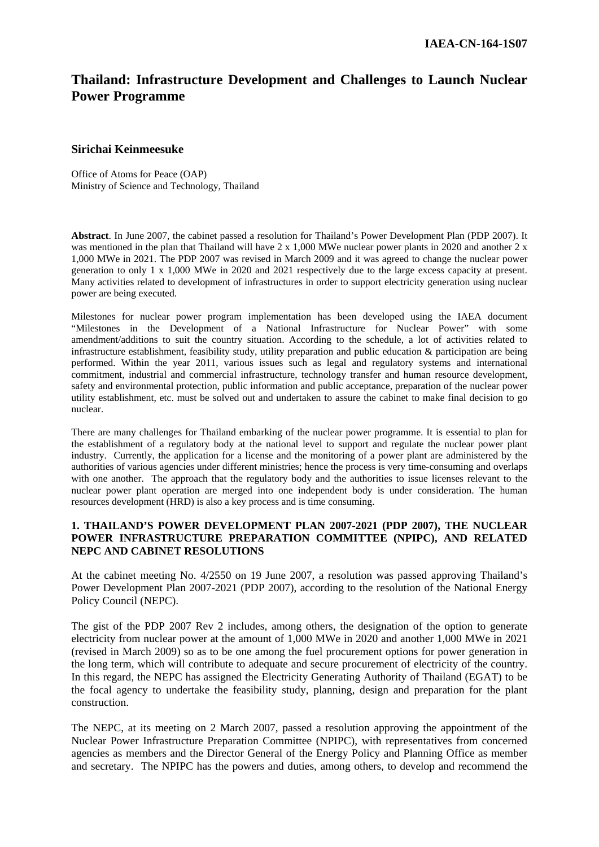# **Thailand: Infrastructure Development and Challenges to Launch Nuclear Power Programme**

### **Sirichai Keinmeesuke**

Office of Atoms for Peace (OAP) Ministry of Science and Technology, Thailand

**Abstract**. In June 2007, the cabinet passed a resolution for Thailand's Power Development Plan (PDP 2007). It was mentioned in the plan that Thailand will have 2 x 1,000 MWe nuclear power plants in 2020 and another 2 x 1,000 MWe in 2021. The PDP 2007 was revised in March 2009 and it was agreed to change the nuclear power generation to only 1 x 1,000 MWe in 2020 and 2021 respectively due to the large excess capacity at present. Many activities related to development of infrastructures in order to support electricity generation using nuclear power are being executed.

Milestones for nuclear power program implementation has been developed using the IAEA document "Milestones in the Development of a National Infrastructure for Nuclear Power" with some amendment/additions to suit the country situation. According to the schedule, a lot of activities related to infrastructure establishment, feasibility study, utility preparation and public education & participation are being performed. Within the year 2011, various issues such as legal and regulatory systems and international commitment, industrial and commercial infrastructure, technology transfer and human resource development, safety and environmental protection, public information and public acceptance, preparation of the nuclear power utility establishment, etc. must be solved out and undertaken to assure the cabinet to make final decision to go nuclear.

There are many challenges for Thailand embarking of the nuclear power programme. It is essential to plan for the establishment of a regulatory body at the national level to support and regulate the nuclear power plant industry. Currently, the application for a license and the monitoring of a power plant are administered by the authorities of various agencies under different ministries; hence the process is very time-consuming and overlaps with one another. The approach that the regulatory body and the authorities to issue licenses relevant to the nuclear power plant operation are merged into one independent body is under consideration. The human resources development (HRD) is also a key process and is time consuming.

### **1. THAILAND'S POWER DEVELOPMENT PLAN 2007-2021 (PDP 2007), THE NUCLEAR POWER INFRASTRUCTURE PREPARATION COMMITTEE (NPIPC), AND RELATED NEPC AND CABINET RESOLUTIONS**

At the cabinet meeting No. 4/2550 on 19 June 2007, a resolution was passed approving Thailand's Power Development Plan 2007-2021 (PDP 2007), according to the resolution of the National Energy Policy Council (NEPC).

The gist of the PDP 2007 Rev 2 includes, among others, the designation of the option to generate electricity from nuclear power at the amount of 1,000 MWe in 2020 and another 1,000 MWe in 2021 (revised in March 2009) so as to be one among the fuel procurement options for power generation in the long term, which will contribute to adequate and secure procurement of electricity of the country. In this regard, the NEPC has assigned the Electricity Generating Authority of Thailand (EGAT) to be the focal agency to undertake the feasibility study, planning, design and preparation for the plant construction.

The NEPC, at its meeting on 2 March 2007, passed a resolution approving the appointment of the Nuclear Power Infrastructure Preparation Committee (NPIPC), with representatives from concerned agencies as members and the Director General of the Energy Policy and Planning Office as member and secretary. The NPIPC has the powers and duties, among others, to develop and recommend the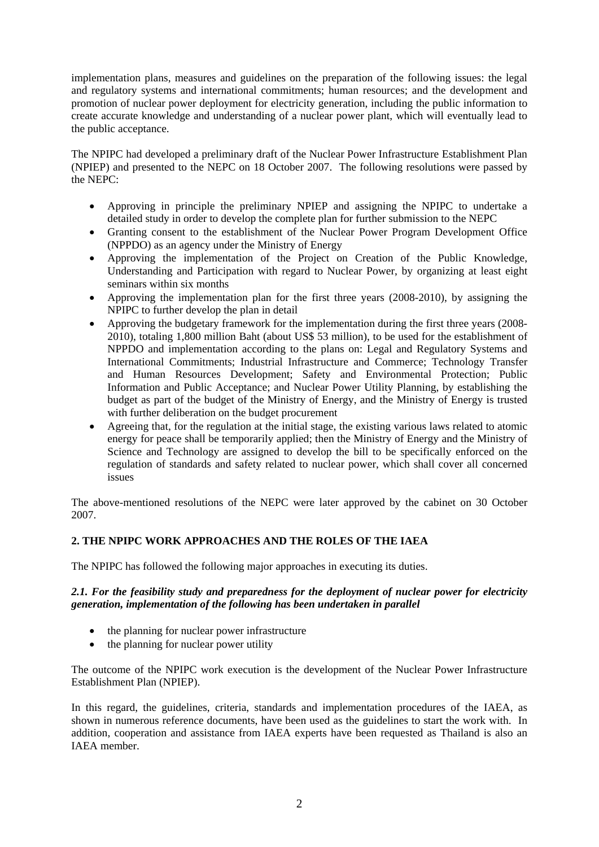implementation plans, measures and guidelines on the preparation of the following issues: the legal and regulatory systems and international commitments; human resources; and the development and promotion of nuclear power deployment for electricity generation, including the public information to create accurate knowledge and understanding of a nuclear power plant, which will eventually lead to the public acceptance.

The NPIPC had developed a preliminary draft of the Nuclear Power Infrastructure Establishment Plan (NPIEP) and presented to the NEPC on 18 October 2007. The following resolutions were passed by the NEPC:

- Approving in principle the preliminary NPIEP and assigning the NPIPC to undertake a detailed study in order to develop the complete plan for further submission to the NEPC
- Granting consent to the establishment of the Nuclear Power Program Development Office (NPPDO) as an agency under the Ministry of Energy
- Approving the implementation of the Project on Creation of the Public Knowledge, Understanding and Participation with regard to Nuclear Power, by organizing at least eight seminars within six months
- Approving the implementation plan for the first three years (2008-2010), by assigning the NPIPC to further develop the plan in detail
- Approving the budgetary framework for the implementation during the first three years (2008- 2010), totaling 1,800 million Baht (about US\$ 53 million), to be used for the establishment of NPPDO and implementation according to the plans on: Legal and Regulatory Systems and International Commitments; Industrial Infrastructure and Commerce; Technology Transfer and Human Resources Development; Safety and Environmental Protection; Public Information and Public Acceptance; and Nuclear Power Utility Planning, by establishing the budget as part of the budget of the Ministry of Energy, and the Ministry of Energy is trusted with further deliberation on the budget procurement
- Agreeing that, for the regulation at the initial stage, the existing various laws related to atomic energy for peace shall be temporarily applied; then the Ministry of Energy and the Ministry of Science and Technology are assigned to develop the bill to be specifically enforced on the regulation of standards and safety related to nuclear power, which shall cover all concerned issues

The above-mentioned resolutions of the NEPC were later approved by the cabinet on 30 October 2007.

# **2. THE NPIPC WORK APPROACHES AND THE ROLES OF THE IAEA**

The NPIPC has followed the following major approaches in executing its duties.

### *2.1. For the feasibility study and preparedness for the deployment of nuclear power for electricity generation, implementation of the following has been undertaken in parallel*

- the planning for nuclear power infrastructure
- the planning for nuclear power utility

The outcome of the NPIPC work execution is the development of the Nuclear Power Infrastructure Establishment Plan (NPIEP).

In this regard, the guidelines, criteria, standards and implementation procedures of the IAEA, as shown in numerous reference documents, have been used as the guidelines to start the work with. In addition, cooperation and assistance from IAEA experts have been requested as Thailand is also an IAEA member.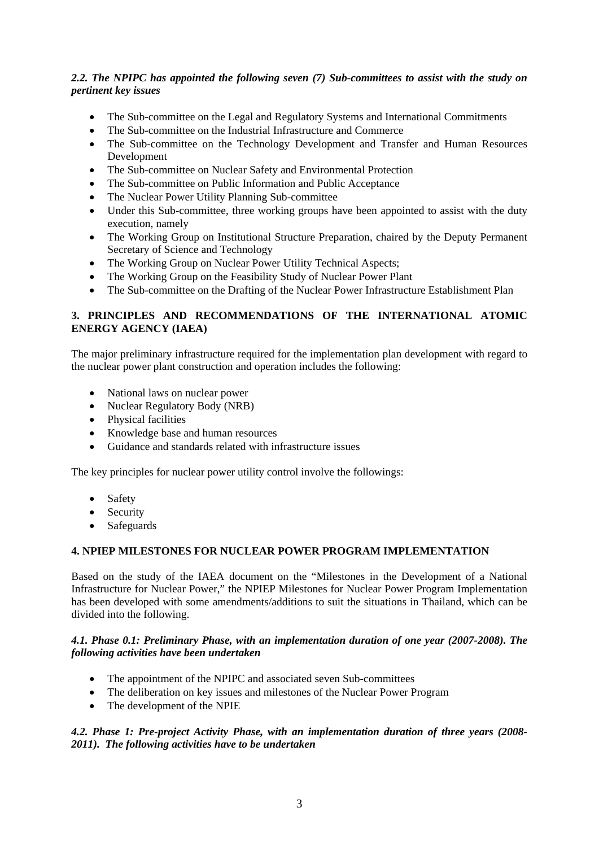# *2.2. The NPIPC has appointed the following seven (7) Sub-committees to assist with the study on pertinent key issues*

- The Sub-committee on the Legal and Regulatory Systems and International Commitments
- The Sub-committee on the Industrial Infrastructure and Commerce
- The Sub-committee on the Technology Development and Transfer and Human Resources Development
- The Sub-committee on Nuclear Safety and Environmental Protection
- The Sub-committee on Public Information and Public Acceptance
- The Nuclear Power Utility Planning Sub-committee
- Under this Sub-committee, three working groups have been appointed to assist with the duty execution, namely
- The Working Group on Institutional Structure Preparation, chaired by the Deputy Permanent Secretary of Science and Technology
- The Working Group on Nuclear Power Utility Technical Aspects;
- The Working Group on the Feasibility Study of Nuclear Power Plant
- The Sub-committee on the Drafting of the Nuclear Power Infrastructure Establishment Plan

# **3. PRINCIPLES AND RECOMMENDATIONS OF THE INTERNATIONAL ATOMIC ENERGY AGENCY (IAEA)**

The major preliminary infrastructure required for the implementation plan development with regard to the nuclear power plant construction and operation includes the following:

- National laws on nuclear power
- Nuclear Regulatory Body (NRB)
- Physical facilities
- Knowledge base and human resources
- Guidance and standards related with infrastructure issues

The key principles for nuclear power utility control involve the followings:

- Safety
- Security
- Safeguards

### **4. NPIEP MILESTONES FOR NUCLEAR POWER PROGRAM IMPLEMENTATION**

Based on the study of the IAEA document on the "Milestones in the Development of a National Infrastructure for Nuclear Power," the NPIEP Milestones for Nuclear Power Program Implementation has been developed with some amendments/additions to suit the situations in Thailand, which can be divided into the following.

### *4.1. Phase 0.1: Preliminary Phase, with an implementation duration of one year (2007-2008). The following activities have been undertaken*

- The appointment of the NPIPC and associated seven Sub-committees
- The deliberation on key issues and milestones of the Nuclear Power Program
- The development of the NPIE

### *4.2. Phase 1: Pre-project Activity Phase, with an implementation duration of three years (2008- 2011). The following activities have to be undertaken*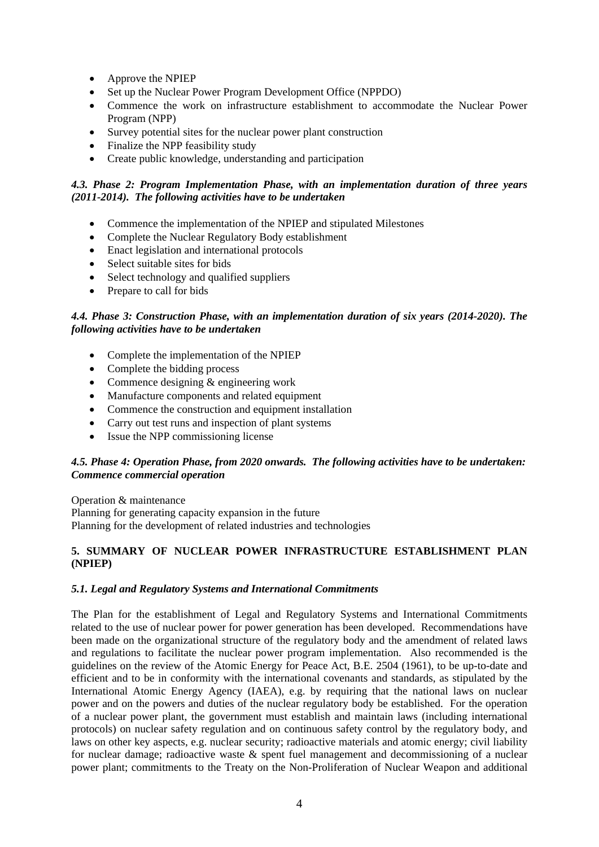- Approve the NPIEP
- Set up the Nuclear Power Program Development Office (NPPDO)
- Commence the work on infrastructure establishment to accommodate the Nuclear Power Program (NPP)
- Survey potential sites for the nuclear power plant construction
- Finalize the NPP feasibility study
- Create public knowledge, understanding and participation

### *4.3. Phase 2: Program Implementation Phase, with an implementation duration of three years (2011-2014). The following activities have to be undertaken*

- Commence the implementation of the NPIEP and stipulated Milestones
- Complete the Nuclear Regulatory Body establishment
- Enact legislation and international protocols
- Select suitable sites for bids
- Select technology and qualified suppliers
- Prepare to call for bids

### *4.4. Phase 3: Construction Phase, with an implementation duration of six years (2014-2020). The following activities have to be undertaken*

- Complete the implementation of the NPIEP
- Complete the bidding process
- Commence designing & engineering work
- Manufacture components and related equipment
- Commence the construction and equipment installation
- Carry out test runs and inspection of plant systems
- Issue the NPP commissioning license

### *4.5. Phase 4: Operation Phase, from 2020 onwards. The following activities have to be undertaken: Commence commercial operation*

Operation & maintenance Planning for generating capacity expansion in the future Planning for the development of related industries and technologies

### **5. SUMMARY OF NUCLEAR POWER INFRASTRUCTURE ESTABLISHMENT PLAN (NPIEP)**

### *5.1. Legal and Regulatory Systems and International Commitments*

The Plan for the establishment of Legal and Regulatory Systems and International Commitments related to the use of nuclear power for power generation has been developed. Recommendations have been made on the organizational structure of the regulatory body and the amendment of related laws and regulations to facilitate the nuclear power program implementation. Also recommended is the guidelines on the review of the Atomic Energy for Peace Act, B.E. 2504 (1961), to be up-to-date and efficient and to be in conformity with the international covenants and standards, as stipulated by the International Atomic Energy Agency (IAEA), e.g. by requiring that the national laws on nuclear power and on the powers and duties of the nuclear regulatory body be established. For the operation of a nuclear power plant, the government must establish and maintain laws (including international protocols) on nuclear safety regulation and on continuous safety control by the regulatory body, and laws on other key aspects, e.g. nuclear security; radioactive materials and atomic energy; civil liability for nuclear damage; radioactive waste & spent fuel management and decommissioning of a nuclear power plant; commitments to the Treaty on the Non-Proliferation of Nuclear Weapon and additional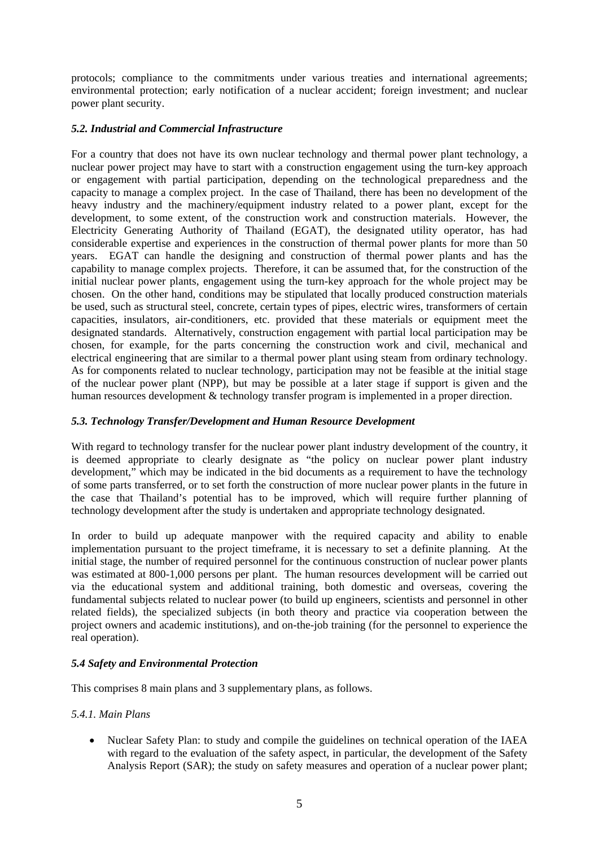protocols; compliance to the commitments under various treaties and international agreements; environmental protection; early notification of a nuclear accident; foreign investment; and nuclear power plant security.

## *5.2. Industrial and Commercial Infrastructure*

For a country that does not have its own nuclear technology and thermal power plant technology, a nuclear power project may have to start with a construction engagement using the turn-key approach or engagement with partial participation, depending on the technological preparedness and the capacity to manage a complex project. In the case of Thailand, there has been no development of the heavy industry and the machinery/equipment industry related to a power plant, except for the development, to some extent, of the construction work and construction materials. However, the Electricity Generating Authority of Thailand (EGAT), the designated utility operator, has had considerable expertise and experiences in the construction of thermal power plants for more than 50 years. EGAT can handle the designing and construction of thermal power plants and has the capability to manage complex projects. Therefore, it can be assumed that, for the construction of the initial nuclear power plants, engagement using the turn-key approach for the whole project may be chosen. On the other hand, conditions may be stipulated that locally produced construction materials be used, such as structural steel, concrete, certain types of pipes, electric wires, transformers of certain capacities, insulators, air-conditioners, etc. provided that these materials or equipment meet the designated standards. Alternatively, construction engagement with partial local participation may be chosen, for example, for the parts concerning the construction work and civil, mechanical and electrical engineering that are similar to a thermal power plant using steam from ordinary technology. As for components related to nuclear technology, participation may not be feasible at the initial stage of the nuclear power plant (NPP), but may be possible at a later stage if support is given and the human resources development & technology transfer program is implemented in a proper direction.

## *5.3. Technology Transfer/Development and Human Resource Development*

With regard to technology transfer for the nuclear power plant industry development of the country, it is deemed appropriate to clearly designate as "the policy on nuclear power plant industry development," which may be indicated in the bid documents as a requirement to have the technology of some parts transferred, or to set forth the construction of more nuclear power plants in the future in the case that Thailand's potential has to be improved, which will require further planning of technology development after the study is undertaken and appropriate technology designated.

In order to build up adequate manpower with the required capacity and ability to enable implementation pursuant to the project timeframe, it is necessary to set a definite planning. At the initial stage, the number of required personnel for the continuous construction of nuclear power plants was estimated at 800-1,000 persons per plant. The human resources development will be carried out via the educational system and additional training, both domestic and overseas, covering the fundamental subjects related to nuclear power (to build up engineers, scientists and personnel in other related fields), the specialized subjects (in both theory and practice via cooperation between the project owners and academic institutions), and on-the-job training (for the personnel to experience the real operation).

# *5.4 Safety and Environmental Protection*

This comprises 8 main plans and 3 supplementary plans, as follows.

### *5.4.1. Main Plans*

• Nuclear Safety Plan: to study and compile the guidelines on technical operation of the IAEA with regard to the evaluation of the safety aspect, in particular, the development of the Safety Analysis Report (SAR); the study on safety measures and operation of a nuclear power plant;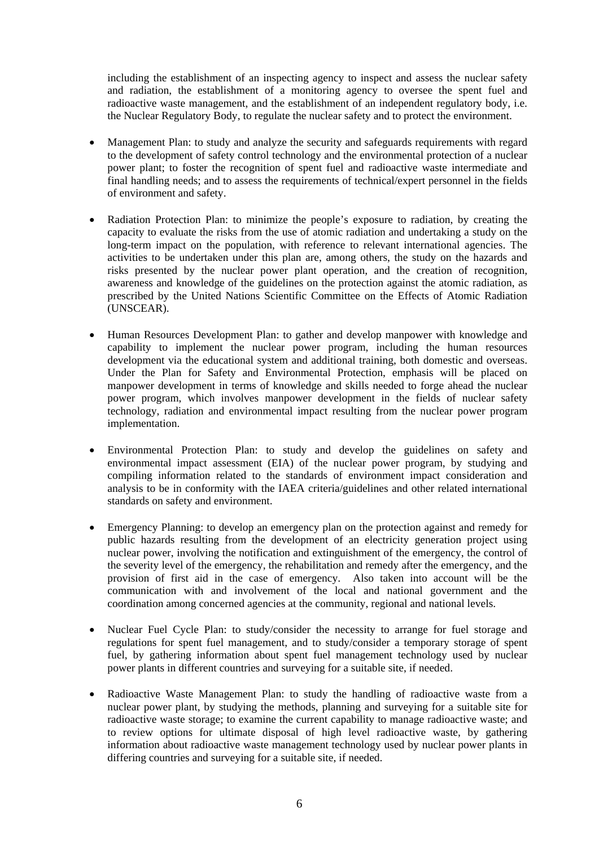including the establishment of an inspecting agency to inspect and assess the nuclear safety and radiation, the establishment of a monitoring agency to oversee the spent fuel and radioactive waste management, and the establishment of an independent regulatory body, i.e. the Nuclear Regulatory Body, to regulate the nuclear safety and to protect the environment.

- Management Plan: to study and analyze the security and safeguards requirements with regard to the development of safety control technology and the environmental protection of a nuclear power plant; to foster the recognition of spent fuel and radioactive waste intermediate and final handling needs; and to assess the requirements of technical/expert personnel in the fields of environment and safety.
- Radiation Protection Plan: to minimize the people's exposure to radiation, by creating the capacity to evaluate the risks from the use of atomic radiation and undertaking a study on the long-term impact on the population, with reference to relevant international agencies. The activities to be undertaken under this plan are, among others, the study on the hazards and risks presented by the nuclear power plant operation, and the creation of recognition, awareness and knowledge of the guidelines on the protection against the atomic radiation, as prescribed by the United Nations Scientific Committee on the Effects of Atomic Radiation (UNSCEAR).
- Human Resources Development Plan: to gather and develop manpower with knowledge and capability to implement the nuclear power program, including the human resources development via the educational system and additional training, both domestic and overseas. Under the Plan for Safety and Environmental Protection, emphasis will be placed on manpower development in terms of knowledge and skills needed to forge ahead the nuclear power program, which involves manpower development in the fields of nuclear safety technology, radiation and environmental impact resulting from the nuclear power program implementation.
- Environmental Protection Plan: to study and develop the guidelines on safety and environmental impact assessment (EIA) of the nuclear power program, by studying and compiling information related to the standards of environment impact consideration and analysis to be in conformity with the IAEA criteria/guidelines and other related international standards on safety and environment.
- Emergency Planning: to develop an emergency plan on the protection against and remedy for public hazards resulting from the development of an electricity generation project using nuclear power, involving the notification and extinguishment of the emergency, the control of the severity level of the emergency, the rehabilitation and remedy after the emergency, and the provision of first aid in the case of emergency. Also taken into account will be the communication with and involvement of the local and national government and the coordination among concerned agencies at the community, regional and national levels.
- Nuclear Fuel Cycle Plan: to study/consider the necessity to arrange for fuel storage and regulations for spent fuel management, and to study/consider a temporary storage of spent fuel, by gathering information about spent fuel management technology used by nuclear power plants in different countries and surveying for a suitable site, if needed.
- Radioactive Waste Management Plan: to study the handling of radioactive waste from a nuclear power plant, by studying the methods, planning and surveying for a suitable site for radioactive waste storage; to examine the current capability to manage radioactive waste; and to review options for ultimate disposal of high level radioactive waste, by gathering information about radioactive waste management technology used by nuclear power plants in differing countries and surveying for a suitable site, if needed.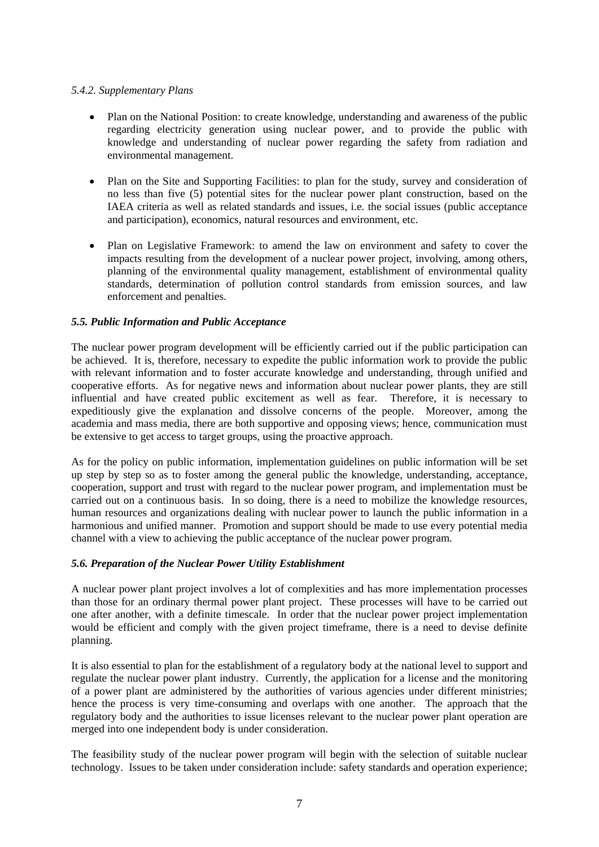### *5.4.2. Supplementary Plans*

- Plan on the National Position: to create knowledge, understanding and awareness of the public regarding electricity generation using nuclear power, and to provide the public with knowledge and understanding of nuclear power regarding the safety from radiation and environmental management.
- Plan on the Site and Supporting Facilities: to plan for the study, survey and consideration of no less than five (5) potential sites for the nuclear power plant construction, based on the IAEA criteria as well as related standards and issues, i.e. the social issues (public acceptance and participation), economics, natural resources and environment, etc.
- Plan on Legislative Framework: to amend the law on environment and safety to cover the impacts resulting from the development of a nuclear power project, involving, among others, planning of the environmental quality management, establishment of environmental quality standards, determination of pollution control standards from emission sources, and law enforcement and penalties.

### *5.5. Public Information and Public Acceptance*

The nuclear power program development will be efficiently carried out if the public participation can be achieved. It is, therefore, necessary to expedite the public information work to provide the public with relevant information and to foster accurate knowledge and understanding, through unified and cooperative efforts. As for negative news and information about nuclear power plants, they are still influential and have created public excitement as well as fear. Therefore, it is necessary to expeditiously give the explanation and dissolve concerns of the people. Moreover, among the academia and mass media, there are both supportive and opposing views; hence, communication must be extensive to get access to target groups, using the proactive approach.

As for the policy on public information, implementation guidelines on public information will be set up step by step so as to foster among the general public the knowledge, understanding, acceptance, cooperation, support and trust with regard to the nuclear power program, and implementation must be carried out on a continuous basis. In so doing, there is a need to mobilize the knowledge resources, human resources and organizations dealing with nuclear power to launch the public information in a harmonious and unified manner. Promotion and support should be made to use every potential media channel with a view to achieving the public acceptance of the nuclear power program.

# *5.6. Preparation of the Nuclear Power Utility Establishment*

A nuclear power plant project involves a lot of complexities and has more implementation processes than those for an ordinary thermal power plant project. These processes will have to be carried out one after another, with a definite timescale. In order that the nuclear power project implementation would be efficient and comply with the given project timeframe, there is a need to devise definite planning.

It is also essential to plan for the establishment of a regulatory body at the national level to support and regulate the nuclear power plant industry. Currently, the application for a license and the monitoring of a power plant are administered by the authorities of various agencies under different ministries; hence the process is very time-consuming and overlaps with one another. The approach that the regulatory body and the authorities to issue licenses relevant to the nuclear power plant operation are merged into one independent body is under consideration.

The feasibility study of the nuclear power program will begin with the selection of suitable nuclear technology. Issues to be taken under consideration include: safety standards and operation experience;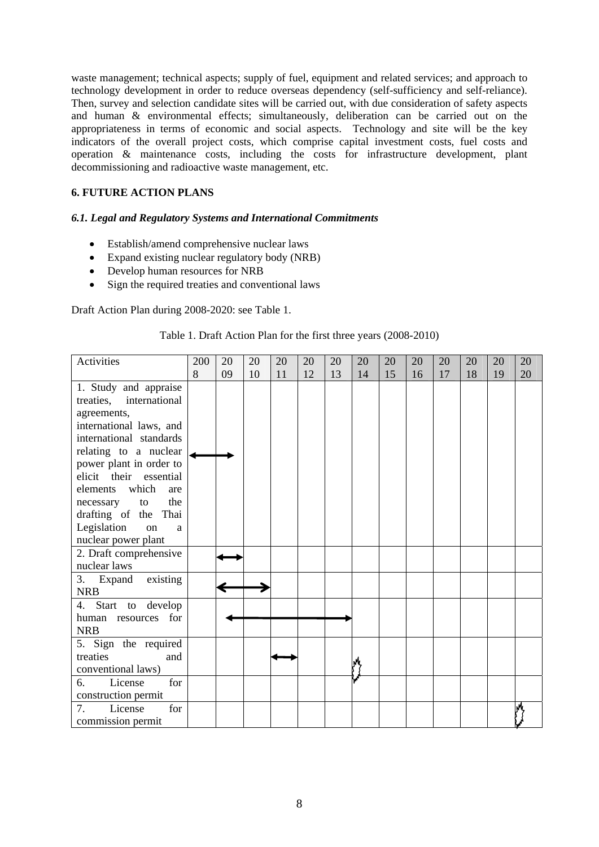waste management; technical aspects; supply of fuel, equipment and related services; and approach to technology development in order to reduce overseas dependency (self-sufficiency and self-reliance). Then, survey and selection candidate sites will be carried out, with due consideration of safety aspects and human & environmental effects; simultaneously, deliberation can be carried out on the appropriateness in terms of economic and social aspects. Technology and site will be the key indicators of the overall project costs, which comprise capital investment costs, fuel costs and operation & maintenance costs, including the costs for infrastructure development, plant decommissioning and radioactive waste management, etc.

# **6. FUTURE ACTION PLANS**

# *6.1. Legal and Regulatory Systems and International Commitments*

- Establish/amend comprehensive nuclear laws
- Expand existing nuclear regulatory body (NRB)
- Develop human resources for NRB
- Sign the required treaties and conventional laws

Draft Action Plan during 2008-2020: see Table 1.

### Table 1. Draft Action Plan for the first three years (2008-2010)

| Activities                                          | 200<br>8 | 20<br>09 | 20 | 20 | 20<br>12 | 20 | 20 | 20 | 20 | 20<br>17 | 20 | 20 | 20 |
|-----------------------------------------------------|----------|----------|----|----|----------|----|----|----|----|----------|----|----|----|
|                                                     |          |          | 10 | 11 |          | 13 | 14 | 15 | 16 |          | 18 | 19 | 20 |
| 1. Study and appraise<br>international<br>treaties, |          |          |    |    |          |    |    |    |    |          |    |    |    |
| agreements,                                         |          |          |    |    |          |    |    |    |    |          |    |    |    |
| international laws, and                             |          |          |    |    |          |    |    |    |    |          |    |    |    |
| international standards                             |          |          |    |    |          |    |    |    |    |          |    |    |    |
| relating to a nuclear                               |          |          |    |    |          |    |    |    |    |          |    |    |    |
| power plant in order to                             |          |          |    |    |          |    |    |    |    |          |    |    |    |
| elicit their essential                              |          |          |    |    |          |    |    |    |    |          |    |    |    |
| which<br>elements<br>are                            |          |          |    |    |          |    |    |    |    |          |    |    |    |
| the<br>necessary<br>to                              |          |          |    |    |          |    |    |    |    |          |    |    |    |
| drafting of the Thai                                |          |          |    |    |          |    |    |    |    |          |    |    |    |
| Legislation<br>on<br>a                              |          |          |    |    |          |    |    |    |    |          |    |    |    |
| nuclear power plant                                 |          |          |    |    |          |    |    |    |    |          |    |    |    |
| 2. Draft comprehensive                              |          |          |    |    |          |    |    |    |    |          |    |    |    |
| nuclear laws                                        |          |          |    |    |          |    |    |    |    |          |    |    |    |
| existing<br>3. Expand                               |          |          |    |    |          |    |    |    |    |          |    |    |    |
| <b>NRB</b>                                          |          |          |    |    |          |    |    |    |    |          |    |    |    |
| 4.<br>Start to develop                              |          |          |    |    |          |    |    |    |    |          |    |    |    |
| human resources for<br><b>NRB</b>                   |          |          |    |    |          |    |    |    |    |          |    |    |    |
| 5. Sign the required                                |          |          |    |    |          |    |    |    |    |          |    |    |    |
| treaties<br>and                                     |          |          |    |    |          |    |    |    |    |          |    |    |    |
| conventional laws)                                  |          |          |    |    |          |    |    |    |    |          |    |    |    |
| License<br>6.<br>for                                |          |          |    |    |          |    |    |    |    |          |    |    |    |
| construction permit                                 |          |          |    |    |          |    |    |    |    |          |    |    |    |
| for<br>7.<br>License                                |          |          |    |    |          |    |    |    |    |          |    |    |    |
| commission permit                                   |          |          |    |    |          |    |    |    |    |          |    |    |    |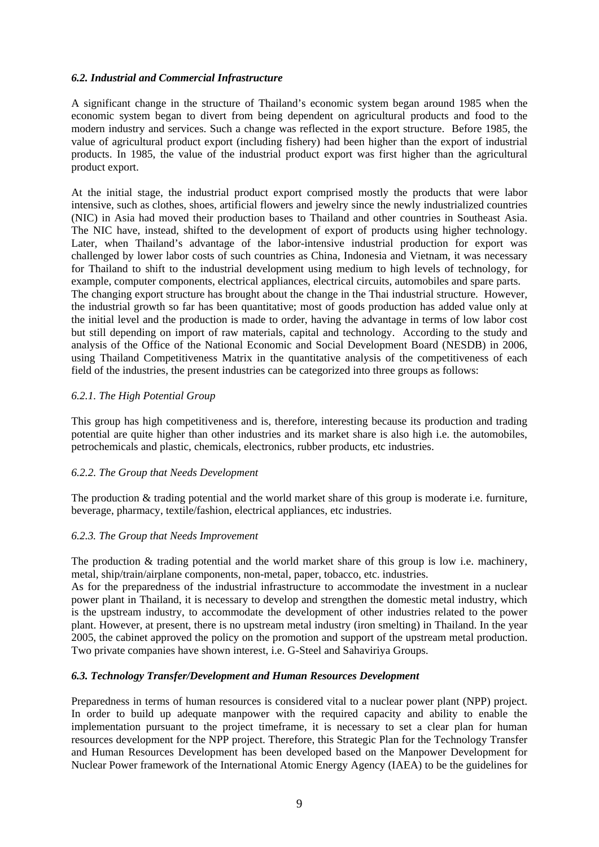### *6.2. Industrial and Commercial Infrastructure*

A significant change in the structure of Thailand's economic system began around 1985 when the economic system began to divert from being dependent on agricultural products and food to the modern industry and services. Such a change was reflected in the export structure. Before 1985, the value of agricultural product export (including fishery) had been higher than the export of industrial products. In 1985, the value of the industrial product export was first higher than the agricultural product export.

At the initial stage, the industrial product export comprised mostly the products that were labor intensive, such as clothes, shoes, artificial flowers and jewelry since the newly industrialized countries (NIC) in Asia had moved their production bases to Thailand and other countries in Southeast Asia. The NIC have, instead, shifted to the development of export of products using higher technology. Later, when Thailand's advantage of the labor-intensive industrial production for export was challenged by lower labor costs of such countries as China, Indonesia and Vietnam, it was necessary for Thailand to shift to the industrial development using medium to high levels of technology, for example, computer components, electrical appliances, electrical circuits, automobiles and spare parts. The changing export structure has brought about the change in the Thai industrial structure. However, the industrial growth so far has been quantitative; most of goods production has added value only at the initial level and the production is made to order, having the advantage in terms of low labor cost but still depending on import of raw materials, capital and technology. According to the study and analysis of the Office of the National Economic and Social Development Board (NESDB) in 2006, using Thailand Competitiveness Matrix in the quantitative analysis of the competitiveness of each field of the industries, the present industries can be categorized into three groups as follows:

### *6.2.1. The High Potential Group*

This group has high competitiveness and is, therefore, interesting because its production and trading potential are quite higher than other industries and its market share is also high i.e. the automobiles, petrochemicals and plastic, chemicals, electronics, rubber products, etc industries.

### *6.2.2. The Group that Needs Development*

The production & trading potential and the world market share of this group is moderate i.e. furniture, beverage, pharmacy, textile/fashion, electrical appliances, etc industries.

### *6.2.3. The Group that Needs Improvement*

The production  $\&$  trading potential and the world market share of this group is low i.e. machinery, metal, ship/train/airplane components, non-metal, paper, tobacco, etc. industries.

As for the preparedness of the industrial infrastructure to accommodate the investment in a nuclear power plant in Thailand, it is necessary to develop and strengthen the domestic metal industry, which is the upstream industry, to accommodate the development of other industries related to the power plant. However, at present, there is no upstream metal industry (iron smelting) in Thailand. In the year 2005, the cabinet approved the policy on the promotion and support of the upstream metal production. Two private companies have shown interest, i.e. G-Steel and Sahaviriya Groups.

### *6.3. Technology Transfer/Development and Human Resources Development*

Preparedness in terms of human resources is considered vital to a nuclear power plant (NPP) project. In order to build up adequate manpower with the required capacity and ability to enable the implementation pursuant to the project timeframe, it is necessary to set a clear plan for human resources development for the NPP project. Therefore, this Strategic Plan for the Technology Transfer and Human Resources Development has been developed based on the Manpower Development for Nuclear Power framework of the International Atomic Energy Agency (IAEA) to be the guidelines for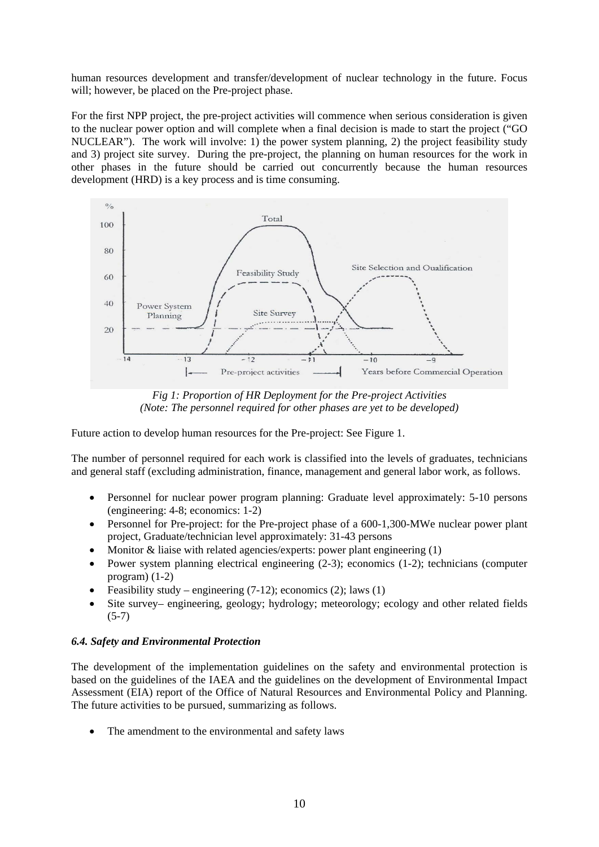human resources development and transfer/development of nuclear technology in the future. Focus will; however, be placed on the Pre-project phase.

For the first NPP project, the pre-project activities will commence when serious consideration is given to the nuclear power option and will complete when a final decision is made to start the project ("GO NUCLEAR"). The work will involve: 1) the power system planning, 2) the project feasibility study and 3) project site survey. During the pre-project, the planning on human resources for the work in other phases in the future should be carried out concurrently because the human resources development (HRD) is a key process and is time consuming.



*Fig 1: Proportion of HR Deployment for the Pre-project Activities (Note: The personnel required for other phases are yet to be developed)* 

Future action to develop human resources for the Pre-project: See Figure 1.

The number of personnel required for each work is classified into the levels of graduates, technicians and general staff (excluding administration, finance, management and general labor work, as follows.

- Personnel for nuclear power program planning: Graduate level approximately: 5-10 persons (engineering: 4-8; economics: 1-2)
- Personnel for Pre-project: for the Pre-project phase of a 600-1,300-MWe nuclear power plant project, Graduate/technician level approximately: 31-43 persons
- Monitor & liaise with related agencies/experts: power plant engineering (1)
- Power system planning electrical engineering  $(2-3)$ ; economics  $(1-2)$ ; technicians (computer program) (1-2)
- Feasibility study engineering  $(7-12)$ ; economics  $(2)$ ; laws  $(1)$
- Site survey– engineering, geology; hydrology; meteorology; ecology and other related fields  $(5-7)$

### *6.4. Safety and Environmental Protection*

The development of the implementation guidelines on the safety and environmental protection is based on the guidelines of the IAEA and the guidelines on the development of Environmental Impact Assessment (EIA) report of the Office of Natural Resources and Environmental Policy and Planning. The future activities to be pursued, summarizing as follows.

• The amendment to the environmental and safety laws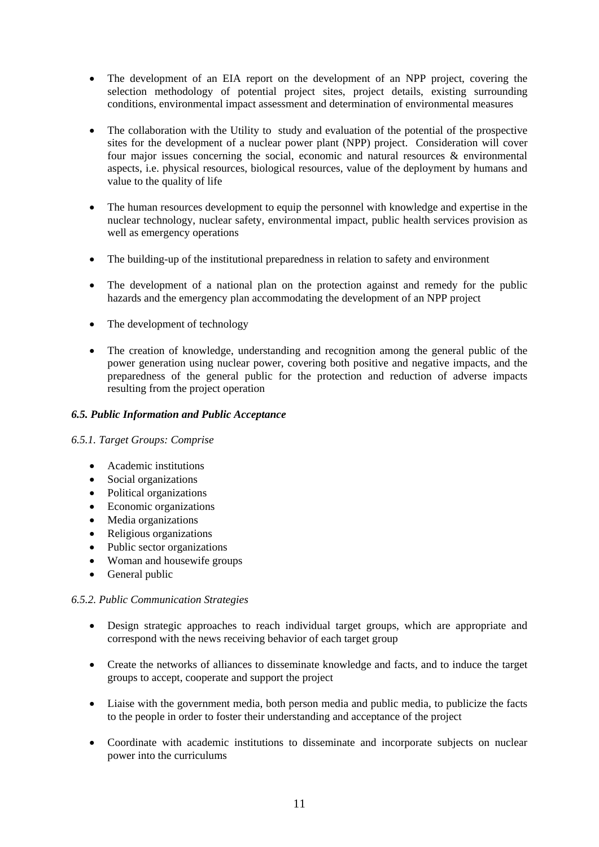- The development of an EIA report on the development of an NPP project, covering the selection methodology of potential project sites, project details, existing surrounding conditions, environmental impact assessment and determination of environmental measures
- The collaboration with the Utility to study and evaluation of the potential of the prospective sites for the development of a nuclear power plant (NPP) project. Consideration will cover four major issues concerning the social, economic and natural resources & environmental aspects, i.e. physical resources, biological resources, value of the deployment by humans and value to the quality of life
- The human resources development to equip the personnel with knowledge and expertise in the nuclear technology, nuclear safety, environmental impact, public health services provision as well as emergency operations
- The building-up of the institutional preparedness in relation to safety and environment
- The development of a national plan on the protection against and remedy for the public hazards and the emergency plan accommodating the development of an NPP project
- The development of technology
- The creation of knowledge, understanding and recognition among the general public of the power generation using nuclear power, covering both positive and negative impacts, and the preparedness of the general public for the protection and reduction of adverse impacts resulting from the project operation

### *6.5. Public Information and Public Acceptance*

### *6.5.1. Target Groups: Comprise*

- Academic institutions
- Social organizations
- Political organizations
- Economic organizations
- Media organizations
- Religious organizations
- Public sector organizations
- Woman and housewife groups
- General public

### *6.5.2. Public Communication Strategies*

- Design strategic approaches to reach individual target groups, which are appropriate and correspond with the news receiving behavior of each target group
- Create the networks of alliances to disseminate knowledge and facts, and to induce the target groups to accept, cooperate and support the project
- Liaise with the government media, both person media and public media, to publicize the facts to the people in order to foster their understanding and acceptance of the project
- Coordinate with academic institutions to disseminate and incorporate subjects on nuclear power into the curriculums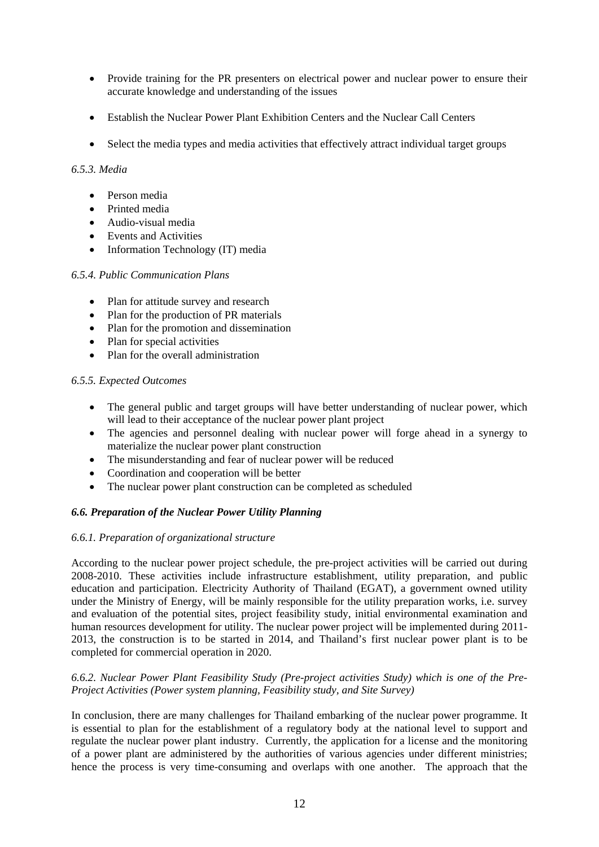- Provide training for the PR presenters on electrical power and nuclear power to ensure their accurate knowledge and understanding of the issues
- Establish the Nuclear Power Plant Exhibition Centers and the Nuclear Call Centers
- Select the media types and media activities that effectively attract individual target groups

# *6.5.3. Media*

- Person media
- Printed media
- Audio-visual media
- Events and Activities
- Information Technology (IT) media

# *6.5.4. Public Communication Plans*

- Plan for attitude survey and research
- Plan for the production of PR materials
- Plan for the promotion and dissemination
- Plan for special activities
- Plan for the overall administration

# *6.5.5. Expected Outcomes*

- The general public and target groups will have better understanding of nuclear power, which will lead to their acceptance of the nuclear power plant project
- The agencies and personnel dealing with nuclear power will forge ahead in a synergy to materialize the nuclear power plant construction
- The misunderstanding and fear of nuclear power will be reduced
- Coordination and cooperation will be better
- The nuclear power plant construction can be completed as scheduled

# *6.6. Preparation of the Nuclear Power Utility Planning*

### *6.6.1. Preparation of organizational structure*

According to the nuclear power project schedule, the pre-project activities will be carried out during 2008-2010. These activities include infrastructure establishment, utility preparation, and public education and participation. Electricity Authority of Thailand (EGAT), a government owned utility under the Ministry of Energy, will be mainly responsible for the utility preparation works, i.e. survey and evaluation of the potential sites, project feasibility study, initial environmental examination and human resources development for utility. The nuclear power project will be implemented during 2011- 2013, the construction is to be started in 2014, and Thailand's first nuclear power plant is to be completed for commercial operation in 2020.

### *6.6.2. Nuclear Power Plant Feasibility Study (Pre-project activities Study) which is one of the Pre-Project Activities (Power system planning, Feasibility study, and Site Survey)*

In conclusion, there are many challenges for Thailand embarking of the nuclear power programme. It is essential to plan for the establishment of a regulatory body at the national level to support and regulate the nuclear power plant industry. Currently, the application for a license and the monitoring of a power plant are administered by the authorities of various agencies under different ministries; hence the process is very time-consuming and overlaps with one another. The approach that the